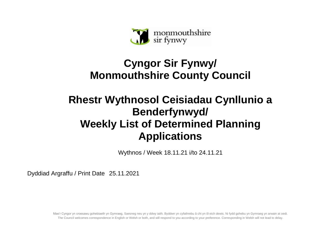

## **Cyngor Sir Fynwy/ Monmouthshire County Council**

## **Rhestr Wythnosol Ceisiadau Cynllunio a Benderfynwyd/ Weekly List of Determined Planning Applications**

Wythnos / Week 18.11.21 i/to 24.11.21

Dyddiad Argraffu / Print Date 25.11.2021

Mae'r Cyngor yn croesawu gohebiaeth yn Gymraeg, Saesneg neu yn y ddwy iaith. Byddwn yn cyfathrebu â chi yn ôl eich dewis. Ni fydd gohebu yn Gymraeg yn arwain at oedi. The Council welcomes correspondence in English or Welsh or both, and will respond to you according to your preference. Corresponding in Welsh will not lead to delay.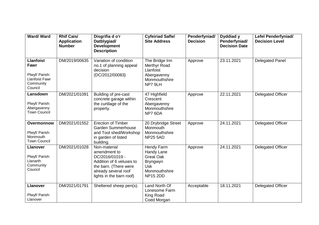| Ward/Ward                                                                                   | <b>Rhif Cais/</b><br><b>Application</b><br><b>Number</b> | Disgrifia d o'r<br>Datblygiad/<br><b>Development</b><br><b>Description</b>                                                                               | <b>Cyfeiriad Safle/</b><br><b>Site Address</b>                                                             | Penderfyniad/<br><b>Decision</b> | Dyddiad y<br>Penderfyniad/<br><b>Decision Date</b> | Lefel Penderfyniad/<br><b>Decision Level</b> |
|---------------------------------------------------------------------------------------------|----------------------------------------------------------|----------------------------------------------------------------------------------------------------------------------------------------------------------|------------------------------------------------------------------------------------------------------------|----------------------------------|----------------------------------------------------|----------------------------------------------|
| <b>Llanfoist</b><br>Fawr<br>Plwyf/ Parish:<br><b>Llanfoist Fawr</b><br>Community<br>Council | DM/2019/00635                                            | Variation of condition<br>no.1 of planning appeal<br>decision<br>(DC/2012/00083)                                                                         | The Bridge Inn<br>Merthyr Road<br>Llanfoist<br>Abergavenny<br>Monmouthshire<br>NP7 9LH                     | Approve                          | 23.11.2021                                         | <b>Delegated Panel</b>                       |
| Lansdown<br>Plwyf/ Parish:<br>Abergavenny<br><b>Town Council</b>                            | DM/2021/01091                                            | Building of pre-cast<br>concrete garage within<br>the curtilage of the<br>property.                                                                      | 47 Highfield<br>Crescent<br>Abergavenny<br>Monmouthshire<br>NP7 6DA                                        | Approve                          | 22.11.2021                                         | <b>Delegated Officer</b>                     |
| Overmonnow<br>Plwyf/ Parish:<br>Monmouth<br><b>Town Council</b>                             | DM/2021/01552                                            | <b>Erection of Timber</b><br><b>Garden Summerhouse</b><br>and Tool shed/Workshop<br>in garden of listed<br>building.                                     | 20 Drybridge Street<br>Monmouth<br>Monmouthshire<br><b>NP25 5AD</b>                                        | Approve                          | 24.11.2021                                         | <b>Delegated Officer</b>                     |
| <b>Llanover</b><br>Plwyf/ Parish:<br>Llanarth<br>Community<br>Council                       | DM/2021/01028                                            | Non-material<br>amendment to<br>DC/2016/01019 -<br>Addition of 6 veluxes to<br>the barn. (There were<br>already several roof<br>lights in the barn roof) | Hendy Farm<br>Handy Lane<br><b>Great Oak</b><br>Bryngwyn<br><b>Usk</b><br>Monmouthshire<br><b>NP15 2DD</b> | Approve                          | 24.11.2021                                         | <b>Delegated Officer</b>                     |
| <b>Llanover</b><br>Plwyf/ Parish:<br>Llanover                                               | DM/2021/01791                                            | Sheltered sheep pen(s).                                                                                                                                  | Land North Of<br>Lonesome Farm<br>King Road<br>Coed Morgan                                                 | Acceptable                       | 18.11.2021                                         | <b>Delegated Officer</b>                     |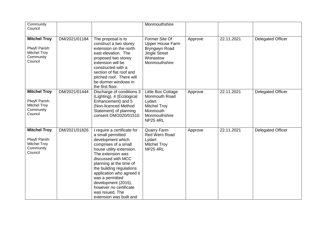| Community<br>Council                                                                 |               |                                                                                                                                                                                                                                                                                                                                                                            | Monmouthshire                                                                                                        |         |            |                          |
|--------------------------------------------------------------------------------------|---------------|----------------------------------------------------------------------------------------------------------------------------------------------------------------------------------------------------------------------------------------------------------------------------------------------------------------------------------------------------------------------------|----------------------------------------------------------------------------------------------------------------------|---------|------------|--------------------------|
| <b>Mitchel Troy</b><br>Plwyf/ Parish:<br><b>Mitchel Troy</b><br>Community<br>Council | DM/2021/01184 | The proposal is to<br>construct a two storey<br>extension on the north<br>east elevation. The<br>proposed two storey<br>extension will be<br>constructed with a<br>section of flat roof and<br>pitched roof. There will<br>be dormer windows in<br>the first floor.                                                                                                        | Former Site Of<br><b>Upper House Farm</b><br>Bryngwyn Road<br><b>Jingle Street</b><br>Wonastow<br>Monmouthshire      | Approve | 22.11.2021 | <b>Delegated Officer</b> |
| <b>Mitchel Troy</b><br>Plwyf/ Parish:<br><b>Mitchel Troy</b><br>Community<br>Council | DM/2021/01444 | Discharge of conditions 3<br>(Lighting), 4 (Ecological<br>Enhancement) and 5<br>(Non-licenced Method<br>Statement) of planning<br>consent DM/2020/01510.                                                                                                                                                                                                                   | Little Box Cottage<br>Monmouth Road<br>Lydart<br><b>Mitchel Troy</b><br>Monmouth<br>Monmouthshire<br><b>NP25 4RL</b> | Approve | 22.11.2021 | <b>Delegated Officer</b> |
| <b>Mitchel Troy</b><br>Plwyf/ Parish:<br><b>Mitchel Troy</b><br>Community<br>Council | DM/2021/01826 | I require a certificate for<br>a small permitted<br>development which<br>comprises of a small<br>house utility extension.<br>The extension was<br>discussed with MCC<br>planning at the time of<br>the building regulations<br>application who agreed it<br>was a permitted<br>development (2015),<br>however no certificate<br>was issued. The<br>extension was built and | <b>Quarry Farm</b><br>Red Wern Road<br>Lydart<br><b>Mitchel Troy</b><br><b>NP25 4RL</b>                              | Approve | 22.11.2021 | <b>Delegated Officer</b> |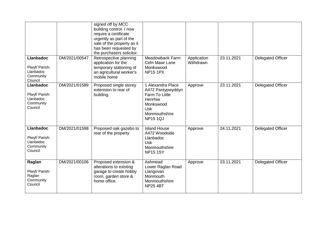|                                                                         |               | signed off by MCC<br>building control. I now<br>require a certificate<br>urgently as part of the<br>sale of the property as it<br>has been requested by<br>the purchasers solicitor. |                                                                                                                                           |                          |            |                          |
|-------------------------------------------------------------------------|---------------|--------------------------------------------------------------------------------------------------------------------------------------------------------------------------------------|-------------------------------------------------------------------------------------------------------------------------------------------|--------------------------|------------|--------------------------|
| <b>Llanbadoc</b><br>Plwyf/ Parish:<br>Llanbadoc<br>Community<br>Council | DM/2021/00547 | Retrospective planning<br>application for the<br>temporary stationing of<br>an agricultural worker's<br>mobile home                                                                  | Meadowbank Farm<br>Cefn Mawr Lane<br>Monkswood<br><b>NP15 1PX</b>                                                                         | Application<br>Withdrawn | 23.11.2021 | <b>Delegated Officer</b> |
| <b>Llanbadoc</b><br>Plwyf/ Parish:<br>Llanbadoc<br>Community<br>Council | DM/2021/01589 | Proposed single storey<br>extension to rear of<br>building.                                                                                                                          | 1 Alexandra Place<br>A472 Pantypwyddyn<br><b>Farm To Little</b><br>Henrhiw<br>Monkswood<br><b>Usk</b><br>Monmouthshire<br><b>NP15 1QJ</b> | Approve                  | 23.11.2021 | <b>Delegated Officer</b> |
| <b>Llanbadoc</b><br>Plwyf/ Parish:<br>Llanbadoc<br>Community<br>Council | DM/2021/01598 | Proposed oak gazebo to<br>rear of the property                                                                                                                                       | <b>Island House</b><br>A472 Woodside<br>Llanbadoc<br><b>Usk</b><br>Monmouthshire<br><b>NP15 1SY</b>                                       | Approve                  | 24.11.2021 | <b>Delegated Officer</b> |
| Raglan<br>Plwyf/ Parish:<br>Raglan<br>Community<br>Council              | DM/2021/00106 | Proposed extension &<br>alterations to existing<br>garage to create hobby<br>room, garden store &<br>home office.                                                                    | Ashmead<br>Lower Raglan Road<br>Llangovan<br><b>Monmouth</b><br>Monmouthshire<br><b>NP25 4BT</b>                                          | Approve                  | 23.11.2021 | <b>Delegated Officer</b> |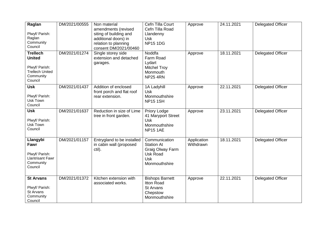| Raglan<br>Plwyf/ Parish:<br>Raglan<br>Community<br>Council                                           | DM/2021/00555 | Non material<br>amendments (revised<br>siting of building and<br>additional doors) in<br>relation to planning<br>consent DM/2021/00460 | Cefn Tilla Court<br>Cefn Tilla Road<br>Llandenny<br>Usk<br><b>NP15 1DG</b>                               | Approve                  | 24.11.2021 | <b>Delegated Officer</b> |
|------------------------------------------------------------------------------------------------------|---------------|----------------------------------------------------------------------------------------------------------------------------------------|----------------------------------------------------------------------------------------------------------|--------------------------|------------|--------------------------|
| <b>Trellech</b><br><b>United</b><br>Plwyf/ Parish:<br><b>Trellech United</b><br>Community<br>Council | DM/2021/01274 | Single storey side<br>extension and detached<br>garages.                                                                               | Noddfa<br>Farm Road<br>Lydart<br><b>Mitchel Troy</b><br>Monmouth<br><b>NP25 4RN</b>                      | Approve                  | 18.11.2021 | <b>Delegated Officer</b> |
| <b>Usk</b><br>Plwyf/ Parish:<br>Usk Town<br>Council                                                  | DM/2021/01437 | Addition of enclosed<br>front porch and flat roof<br>rear extension.                                                                   | 1A Ladyhill<br><b>Usk</b><br>Monmouthshire<br><b>NP15 1SH</b>                                            | Approve                  | 22.11.2021 | <b>Delegated Officer</b> |
| <b>Usk</b><br>Plwyf/ Parish:<br>Usk Town<br>Council                                                  | DM/2021/01637 | Reduction in size of Lime<br>tree in front garden.                                                                                     | Priory Lodge<br>41 Maryport Street<br><b>Usk</b><br>Monmouthshire<br><b>NP15 1AE</b>                     | Approve                  | 23.11.2021 | <b>Delegated Officer</b> |
| Llangybi<br>Fawr<br>Plwyf/ Parish:<br><b>Llantrisant Fawr</b><br>Community<br>Council                | DM/2021/01157 | Entrygland to be installed<br>in cabin wall (proposed<br>ctil).                                                                        | Communication<br><b>Station At</b><br>Graig Olway Farm<br><b>Usk Road</b><br><b>Usk</b><br>Monmouthshire | Application<br>Withdrawn | 18.11.2021 | <b>Delegated Officer</b> |
| <b>St Arvans</b><br>Plwyf/ Parish:<br>St Arvans<br>Community<br>Council                              | DM/2021/01372 | Kitchen extension with<br>associated works.                                                                                            | <b>Bishops Barnett</b><br><b>Itton Road</b><br>St Arvans<br>Chepstow<br>Monmouthshire                    | Approve                  | 22.11.2021 | <b>Delegated Officer</b> |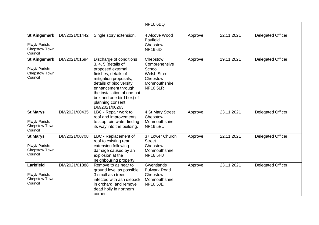|                                                                   |               |                                                                                                                                                                                                                                                                         | <b>NP16 6BQ</b>                                                                                            |         |            |                          |
|-------------------------------------------------------------------|---------------|-------------------------------------------------------------------------------------------------------------------------------------------------------------------------------------------------------------------------------------------------------------------------|------------------------------------------------------------------------------------------------------------|---------|------------|--------------------------|
| <b>St Kingsmark</b><br>Plwyf/ Parish:<br>Chepstow Town<br>Council | DM/2021/01442 | Single story extension.                                                                                                                                                                                                                                                 | 4 Alcove Wood<br><b>Bayfield</b><br>Chepstow<br>NP <sub>16</sub> 6DT                                       | Approve | 22.11.2021 | <b>Delegated Officer</b> |
| <b>St Kingsmark</b><br>Plwyf/ Parish:<br>Chepstow Town<br>Council | DM/2021/01694 | Discharge of conditions<br>3, 4, 5 (details of<br>proposed external<br>finishes, details of<br>mitigation proposals,<br>details of biodiversity<br>enhancement through<br>the installation of one bat<br>box and one bird box) of<br>planning consent<br>DM/2021/00263. | Chepstow<br>Comprehensive<br>School<br><b>Welsh Street</b><br>Chepstow<br>Monmouthshire<br><b>NP16 5LR</b> | Approve | 19.11.2021 | <b>Delegated Officer</b> |
| <b>St Marys</b><br>Plwyf/ Parish:<br>Chepstow Town<br>Council     | DM/2021/00435 | LBC - Repair work to<br>roof and improvements,<br>to stop rain water finding<br>its way into the building.                                                                                                                                                              | 4 St Mary Street<br>Chepstow<br>Monmouthshire<br><b>NP16 5EU</b>                                           | Approve | 23.11.2021 | <b>Delegated Officer</b> |
| <b>St Marys</b><br>Plwyf/ Parish:<br>Chepstow Town<br>Council     | DM/2021/00708 | LBC - Replacement of<br>roof to existing rear<br>extension following<br>damage caused by an<br>explosion at the<br>neighbouring property.                                                                                                                               | 37 Lower Church<br><b>Street</b><br>Chepstow<br>Monmouthshire<br><b>NP16 5HJ</b>                           | Approve | 22.11.2021 | <b>Delegated Officer</b> |
| Larkfield<br>Plwyf/ Parish:<br>Chepstow Town<br>Council           | DM/2021/01888 | Remove to as near to<br>ground level as possible<br>3 small ash trees<br>infected with ash dieback<br>in orchard, and remove<br>dead holly in northern<br>corner.                                                                                                       | Gwentlands<br><b>Bulwark Road</b><br>Chepstow<br>Monmouthshire<br><b>NP16 5JE</b>                          | Approve | 23.11.2021 | <b>Delegated Officer</b> |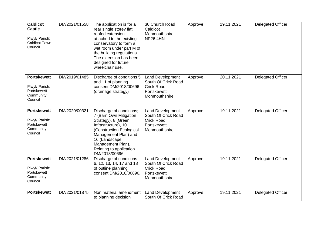| <b>Caldicot</b><br><b>Castle</b><br>Plwyf/ Parish:<br><b>Caldicot Town</b><br>Council | DM/2021/01558 | The application is for a<br>rear single storey flat<br>roofed extension<br>attached to the existing<br>conservatory to form a<br>wet room under part M of<br>the building regulations.<br>The extension has been<br>designed for future<br>wheelchair use. | 30 Church Road<br>Caldicot<br>Monmouthshire<br><b>NP26 4HN</b>                                      | Approve | 19.11.2021 | <b>Delegated Officer</b> |
|---------------------------------------------------------------------------------------|---------------|------------------------------------------------------------------------------------------------------------------------------------------------------------------------------------------------------------------------------------------------------------|-----------------------------------------------------------------------------------------------------|---------|------------|--------------------------|
| <b>Portskewett</b><br>Plwyf/ Parish:<br>Portskewett<br>Community<br>Council           | DM/2019/01485 | Discharge of conditions 5<br>and 11 of planning<br>consent DM/2018/00696<br>(drainage strategy)                                                                                                                                                            | <b>Land Development</b><br>South Of Crick Road<br><b>Crick Road</b><br>Portskewett<br>Monmouthshire | Approve | 20.11.2021 | <b>Delegated Officer</b> |
| <b>Portskewett</b><br>Plwyf/ Parish:<br>Portskewett<br>Community<br>Council           | DM/2020/00321 | Discharge of conditions;<br>7 (Barn Own Mitigation<br>Strategy), 8 (Green<br>Infrastructure), 10<br>(Construction Ecological<br>Management Plan) and<br>16 (Landscape<br>Management Plan).<br>Relating to application<br>DM/2018/00696.                    | Land Development<br>South Of Crick Road<br><b>Crick Road</b><br>Portskewett<br>Monmouthshire        | Approve | 19.11.2021 | <b>Delegated Officer</b> |
| <b>Portskewett</b><br>Plwyf/ Parish:<br>Portskewett<br>Community<br>Council           | DM/2021/01286 | Discharge of conditions<br>6, 12, 13, 14, 17 and 18<br>of outline planning<br>consent DM/2018/00696.                                                                                                                                                       | <b>Land Development</b><br>South Of Crick Road<br><b>Crick Road</b><br>Portskewett<br>Monmouthshire | Approve | 19.11.2021 | Delegated Officer        |
| <b>Portskewett</b>                                                                    | DM/2021/01875 | Non material amendment<br>to planning decision                                                                                                                                                                                                             | <b>Land Development</b><br>South Of Crick Road                                                      | Approve | 19.11.2021 | <b>Delegated Officer</b> |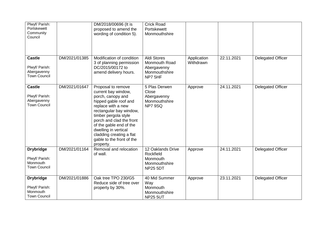| Plwyf/ Parish:<br>Portskewett<br>Community<br>Council                 |               | DM/2018/00696 (It is<br>proposed to amend the<br>wording of condition 5).                                                                                                                                                                                                                                             | <b>Crick Road</b><br>Portskewett<br>Monmouthshire                              |                          |            |                          |
|-----------------------------------------------------------------------|---------------|-----------------------------------------------------------------------------------------------------------------------------------------------------------------------------------------------------------------------------------------------------------------------------------------------------------------------|--------------------------------------------------------------------------------|--------------------------|------------|--------------------------|
| <b>Castle</b><br>Plwyf/ Parish:<br>Abergavenny<br><b>Town Council</b> | DM/2021/01385 | Modification of condition<br>3 of planning permission<br>DC/2015/00172 to<br>amend delivery hours.                                                                                                                                                                                                                    | <b>Aldi Stores</b><br>Monmouth Road<br>Abergavenny<br>Monmouthshire<br>NP7 5HF | Application<br>Withdrawn | 22.11.2021 | <b>Delegated Officer</b> |
| <b>Castle</b><br>Plwyf/ Parish:<br>Abergavenny<br><b>Town Council</b> | DM/2021/01647 | Proposal to remove<br>current bay window,<br>porch, canopy and<br>hipped gable roof and<br>replace with a new<br>rectangular bay window,<br>timber pergola style<br>porch and clad the front<br>of the gable end of the<br>dwelling in vertical<br>cladding creating a flat<br>gable to the front of the<br>property. | 5 Plas Derwen<br>Close<br>Abergavenny<br>Monmouthshire<br>NP7 9SQ              | Approve                  | 24.11.2021 | <b>Delegated Officer</b> |
| <b>Drybridge</b><br>Plwyf/ Parish:<br>Monmouth<br><b>Town Council</b> | DM/2021/01164 | Removal and relocation<br>of wall.                                                                                                                                                                                                                                                                                    | 12 Oaklands Drive<br>Rockfield<br>Monmouth<br>Monmouthshire<br><b>NP25 5DT</b> | Approve                  | 24.11.2021 | <b>Delegated Officer</b> |
| <b>Drybridge</b><br>Plwyf/ Parish:<br>Monmouth<br><b>Town Council</b> | DM/2021/01886 | Oak tree TPO 230/G5<br>Reduce side of tree over<br>property by 30%.                                                                                                                                                                                                                                                   | 40 Mid Summer<br>Way<br>Monmouth<br>Monmouthshire<br><b>NP25 5UT</b>           | Approve                  | 23.11.2021 | <b>Delegated Officer</b> |